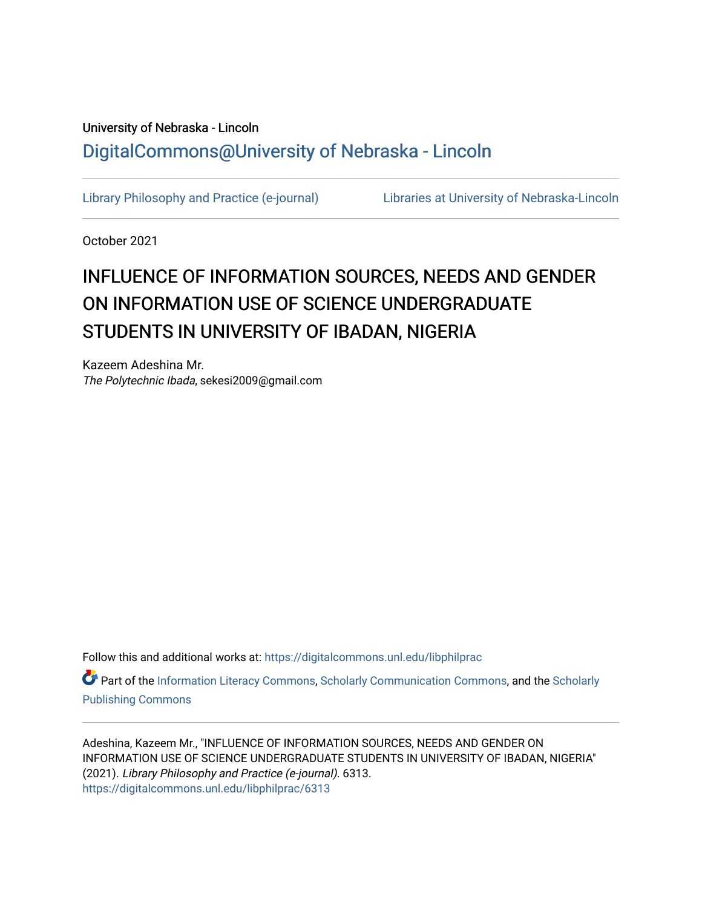# University of Nebraska - Lincoln [DigitalCommons@University of Nebraska - Lincoln](https://digitalcommons.unl.edu/)

[Library Philosophy and Practice \(e-journal\)](https://digitalcommons.unl.edu/libphilprac) [Libraries at University of Nebraska-Lincoln](https://digitalcommons.unl.edu/libraries) 

October 2021

# INFLUENCE OF INFORMATION SOURCES, NEEDS AND GENDER ON INFORMATION USE OF SCIENCE UNDERGRADUATE STUDENTS IN UNIVERSITY OF IBADAN, NIGERIA

Kazeem Adeshina Mr. The Polytechnic Ibada, sekesi2009@gmail.com

Follow this and additional works at: [https://digitalcommons.unl.edu/libphilprac](https://digitalcommons.unl.edu/libphilprac?utm_source=digitalcommons.unl.edu%2Flibphilprac%2F6313&utm_medium=PDF&utm_campaign=PDFCoverPages) 

Part of the [Information Literacy Commons](http://network.bepress.com/hgg/discipline/1243?utm_source=digitalcommons.unl.edu%2Flibphilprac%2F6313&utm_medium=PDF&utm_campaign=PDFCoverPages), [Scholarly Communication Commons](http://network.bepress.com/hgg/discipline/1272?utm_source=digitalcommons.unl.edu%2Flibphilprac%2F6313&utm_medium=PDF&utm_campaign=PDFCoverPages), and the [Scholarly](http://network.bepress.com/hgg/discipline/1273?utm_source=digitalcommons.unl.edu%2Flibphilprac%2F6313&utm_medium=PDF&utm_campaign=PDFCoverPages) [Publishing Commons](http://network.bepress.com/hgg/discipline/1273?utm_source=digitalcommons.unl.edu%2Flibphilprac%2F6313&utm_medium=PDF&utm_campaign=PDFCoverPages)

Adeshina, Kazeem Mr., "INFLUENCE OF INFORMATION SOURCES, NEEDS AND GENDER ON INFORMATION USE OF SCIENCE UNDERGRADUATE STUDENTS IN UNIVERSITY OF IBADAN, NIGERIA" (2021). Library Philosophy and Practice (e-journal). 6313. [https://digitalcommons.unl.edu/libphilprac/6313](https://digitalcommons.unl.edu/libphilprac/6313?utm_source=digitalcommons.unl.edu%2Flibphilprac%2F6313&utm_medium=PDF&utm_campaign=PDFCoverPages)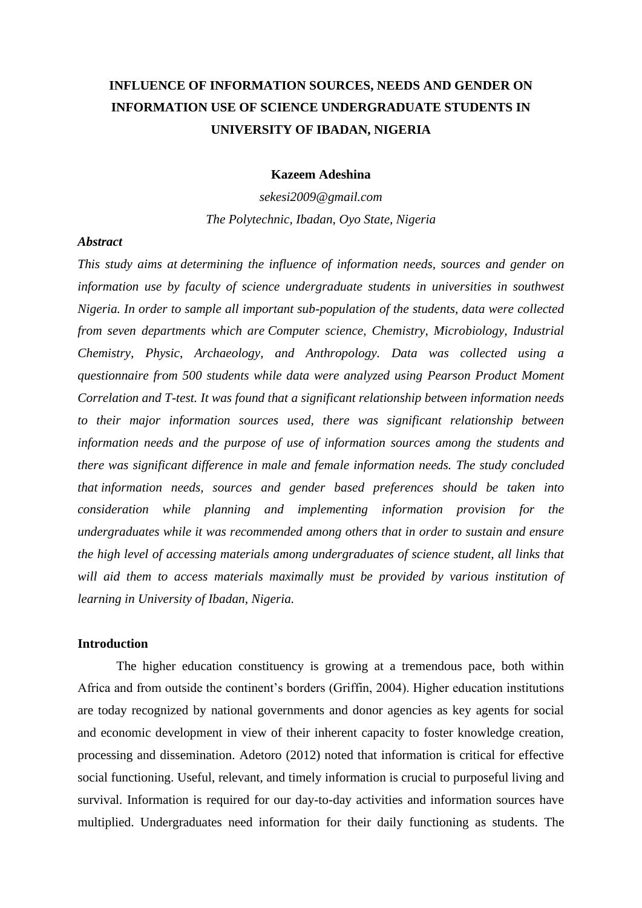# **INFLUENCE OF INFORMATION SOURCES, NEEDS AND GENDER ON INFORMATION USE OF SCIENCE UNDERGRADUATE STUDENTS IN UNIVERSITY OF IBADAN, NIGERIA**

### **Kazeem Adeshina**

*sekesi2009@gmail.com The Polytechnic, Ibadan, Oyo State, Nigeria*

#### *Abstract*

*This study aims at determining the influence of information needs, sources and gender on information use by faculty of science undergraduate students in universities in southwest Nigeria. In order to sample all important sub-population of the students, data were collected from seven departments which are Computer science, Chemistry, Microbiology, Industrial Chemistry, Physic, Archaeology, and Anthropology. Data was collected using a questionnaire from 500 students while data were analyzed using Pearson Product Moment Correlation and T-test. It was found that a significant relationship between information needs to their major information sources used, there was significant relationship between information needs and the purpose of use of information sources among the students and there was significant difference in male and female information needs. The study concluded that information needs, sources and gender based preferences should be taken into consideration while planning and implementing information provision for the undergraduates while it was recommended among others that in order to sustain and ensure the high level of accessing materials among undergraduates of science student, all links that will aid them to access materials maximally must be provided by various institution of learning in University of Ibadan, Nigeria.*

## **Introduction**

The higher education constituency is growing at a tremendous pace, both within Africa and from outside the continent's borders (Griffin, 2004). Higher education institutions are today recognized by national governments and donor agencies as key agents for social and economic development in view of their inherent capacity to foster knowledge creation, processing and dissemination. Adetoro (2012) noted that information is critical for effective social functioning. Useful, relevant, and timely information is crucial to purposeful living and survival. Information is required for our day-to-day activities and information sources have multiplied. Undergraduates need information for their daily functioning as students. The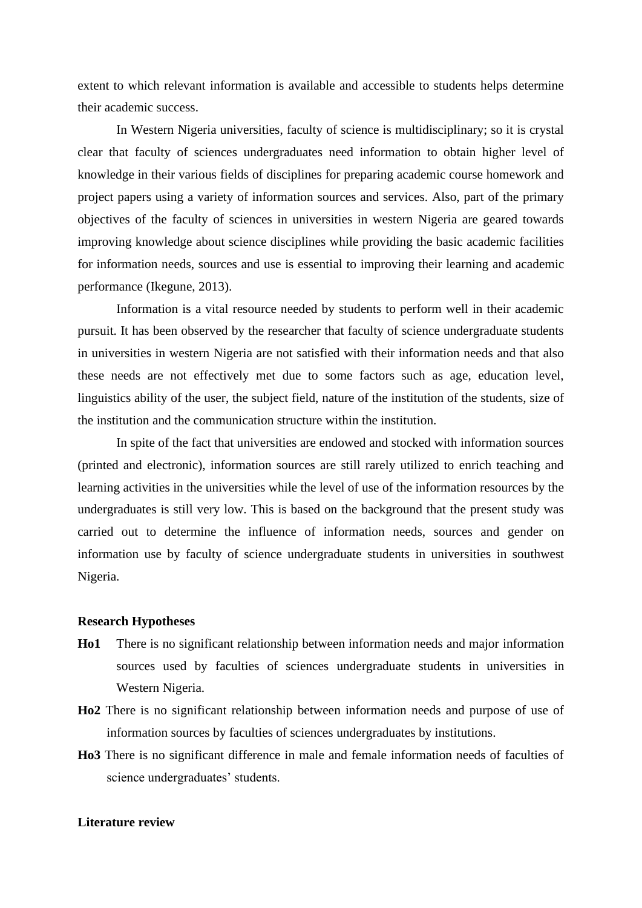extent to which relevant information is available and accessible to students helps determine their academic success.

 In Western Nigeria universities, faculty of science is multidisciplinary; so it is crystal clear that faculty of sciences undergraduates need information to obtain higher level of knowledge in their various fields of disciplines for preparing academic course homework and project papers using a variety of information sources and services. Also, part of the primary objectives of the faculty of sciences in universities in western Nigeria are geared towards improving knowledge about science disciplines while providing the basic academic facilities for information needs, sources and use is essential to improving their learning and academic performance (Ikegune, 2013).

Information is a vital resource needed by students to perform well in their academic pursuit. It has been observed by the researcher that faculty of science undergraduate students in universities in western Nigeria are not satisfied with their information needs and that also these needs are not effectively met due to some factors such as age, education level, linguistics ability of the user, the subject field, nature of the institution of the students, size of the institution and the communication structure within the institution.

In spite of the fact that universities are endowed and stocked with information sources (printed and electronic), information sources are still rarely utilized to enrich teaching and learning activities in the universities while the level of use of the information resources by the undergraduates is still very low. This is based on the background that the present study was carried out to determine the influence of information needs, sources and gender on information use by faculty of science undergraduate students in universities in southwest Nigeria.

#### **Research Hypotheses**

- **Ho1** There is no significant relationship between information needs and major information sources used by faculties of sciences undergraduate students in universities in Western Nigeria.
- **Ho2** There is no significant relationship between information needs and purpose of use of information sources by faculties of sciences undergraduates by institutions.
- **Ho3** There is no significant difference in male and female information needs of faculties of science undergraduates' students.

## **Literature review**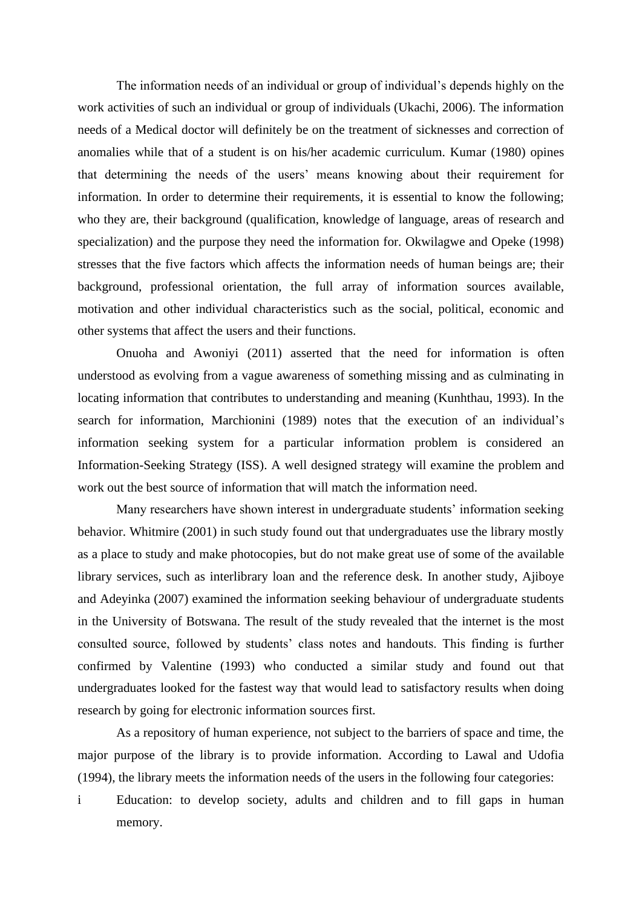The information needs of an individual or group of individual's depends highly on the work activities of such an individual or group of individuals (Ukachi, 2006). The information needs of a Medical doctor will definitely be on the treatment of sicknesses and correction of anomalies while that of a student is on his/her academic curriculum. Kumar (1980) opines that determining the needs of the users' means knowing about their requirement for information. In order to determine their requirements, it is essential to know the following; who they are, their background (qualification, knowledge of language, areas of research and specialization) and the purpose they need the information for. Okwilagwe and Opeke (1998) stresses that the five factors which affects the information needs of human beings are; their background, professional orientation, the full array of information sources available, motivation and other individual characteristics such as the social, political, economic and other systems that affect the users and their functions.

Onuoha and Awoniyi (2011) asserted that the need for information is often understood as evolving from a vague awareness of something missing and as culminating in locating information that contributes to understanding and meaning (Kunhthau, 1993). In the search for information, Marchionini (1989) notes that the execution of an individual's information seeking system for a particular information problem is considered an Information-Seeking Strategy (ISS). A well designed strategy will examine the problem and work out the best source of information that will match the information need.

Many researchers have shown interest in undergraduate students' information seeking behavior. Whitmire (2001) in such study found out that undergraduates use the library mostly as a place to study and make photocopies, but do not make great use of some of the available library services, such as interlibrary loan and the reference desk. In another study, Ajiboye and Adeyinka (2007) examined the information seeking behaviour of undergraduate students in the University of Botswana. The result of the study revealed that the internet is the most consulted source, followed by students' class notes and handouts. This finding is further confirmed by Valentine (1993) who conducted a similar study and found out that undergraduates looked for the fastest way that would lead to satisfactory results when doing research by going for electronic information sources first.

As a repository of human experience, not subject to the barriers of space and time, the major purpose of the library is to provide information. According to Lawal and Udofia (1994), the library meets the information needs of the users in the following four categories:

i Education: to develop society, adults and children and to fill gaps in human memory.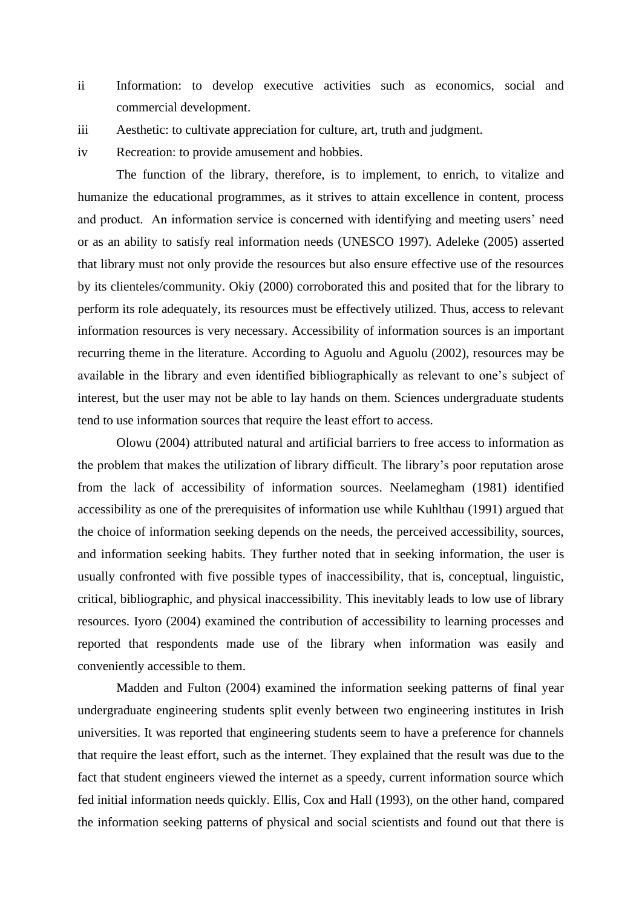- ii Information: to develop executive activities such as economics, social and commercial development.
- iii Aesthetic: to cultivate appreciation for culture, art, truth and judgment.
- iv Recreation: to provide amusement and hobbies.

The function of the library, therefore, is to implement, to enrich, to vitalize and humanize the educational programmes, as it strives to attain excellence in content, process and product. An information service is concerned with identifying and meeting users' need or as an ability to satisfy real information needs (UNESCO 1997). Adeleke (2005) asserted that library must not only provide the resources but also ensure effective use of the resources by its clienteles/community. Okiy (2000) corroborated this and posited that for the library to perform its role adequately, its resources must be effectively utilized. Thus, access to relevant information resources is very necessary. Accessibility of information sources is an important recurring theme in the literature. According to Aguolu and Aguolu (2002), resources may be available in the library and even identified bibliographically as relevant to one's subject of interest, but the user may not be able to lay hands on them. Sciences undergraduate students tend to use information sources that require the least effort to access.

Olowu (2004) attributed natural and artificial barriers to free access to information as the problem that makes the utilization of library difficult. The library's poor reputation arose from the lack of accessibility of information sources. Neelamegham (1981) identified accessibility as one of the prerequisites of information use while Kuhlthau (1991) argued that the choice of information seeking depends on the needs, the perceived accessibility, sources, and information seeking habits. They further noted that in seeking information, the user is usually confronted with five possible types of inaccessibility, that is, conceptual, linguistic, critical, bibliographic, and physical inaccessibility. This inevitably leads to low use of library resources. Iyoro (2004) examined the contribution of accessibility to learning processes and reported that respondents made use of the library when information was easily and conveniently accessible to them.

Madden and Fulton (2004) examined the information seeking patterns of final year undergraduate engineering students split evenly between two engineering institutes in Irish universities. It was reported that engineering students seem to have a preference for channels that require the least effort, such as the internet. They explained that the result was due to the fact that student engineers viewed the internet as a speedy, current information source which fed initial information needs quickly. Ellis, Cox and Hall (1993), on the other hand, compared the information seeking patterns of physical and social scientists and found out that there is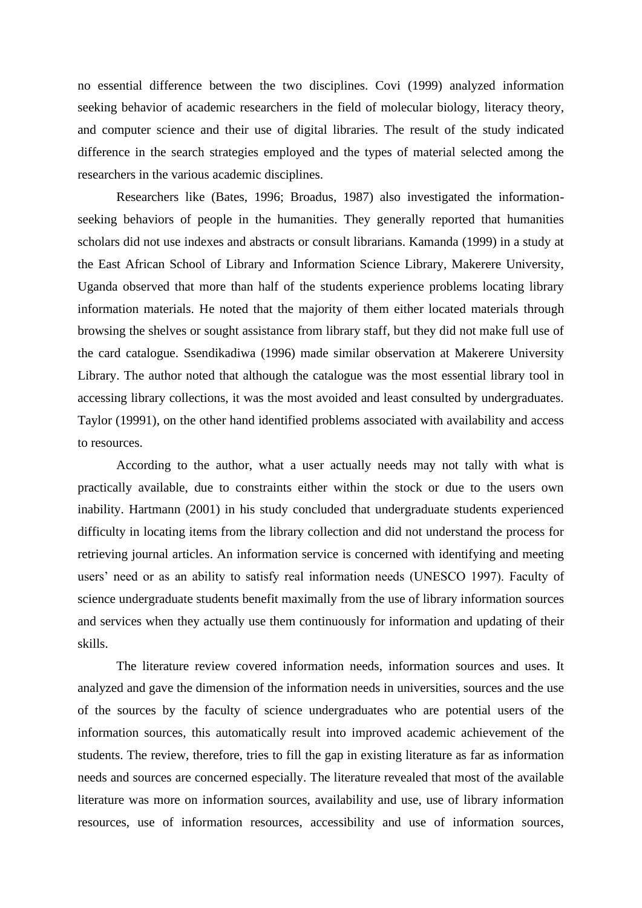no essential difference between the two disciplines. Covi (1999) analyzed information seeking behavior of academic researchers in the field of molecular biology, literacy theory, and computer science and their use of digital libraries. The result of the study indicated difference in the search strategies employed and the types of material selected among the researchers in the various academic disciplines.

Researchers like (Bates, 1996; Broadus, 1987) also investigated the informationseeking behaviors of people in the humanities. They generally reported that humanities scholars did not use indexes and abstracts or consult librarians. Kamanda (1999) in a study at the East African School of Library and Information Science Library, Makerere University, Uganda observed that more than half of the students experience problems locating library information materials. He noted that the majority of them either located materials through browsing the shelves or sought assistance from library staff, but they did not make full use of the card catalogue. Ssendikadiwa (1996) made similar observation at Makerere University Library. The author noted that although the catalogue was the most essential library tool in accessing library collections, it was the most avoided and least consulted by undergraduates. Taylor (19991), on the other hand identified problems associated with availability and access to resources.

According to the author, what a user actually needs may not tally with what is practically available, due to constraints either within the stock or due to the users own inability. Hartmann (2001) in his study concluded that undergraduate students experienced difficulty in locating items from the library collection and did not understand the process for retrieving journal articles. An information service is concerned with identifying and meeting users' need or as an ability to satisfy real information needs (UNESCO 1997). Faculty of science undergraduate students benefit maximally from the use of library information sources and services when they actually use them continuously for information and updating of their skills.

The literature review covered information needs, information sources and uses. It analyzed and gave the dimension of the information needs in universities, sources and the use of the sources by the faculty of science undergraduates who are potential users of the information sources, this automatically result into improved academic achievement of the students. The review, therefore, tries to fill the gap in existing literature as far as information needs and sources are concerned especially. The literature revealed that most of the available literature was more on information sources, availability and use, use of library information resources, use of information resources, accessibility and use of information sources,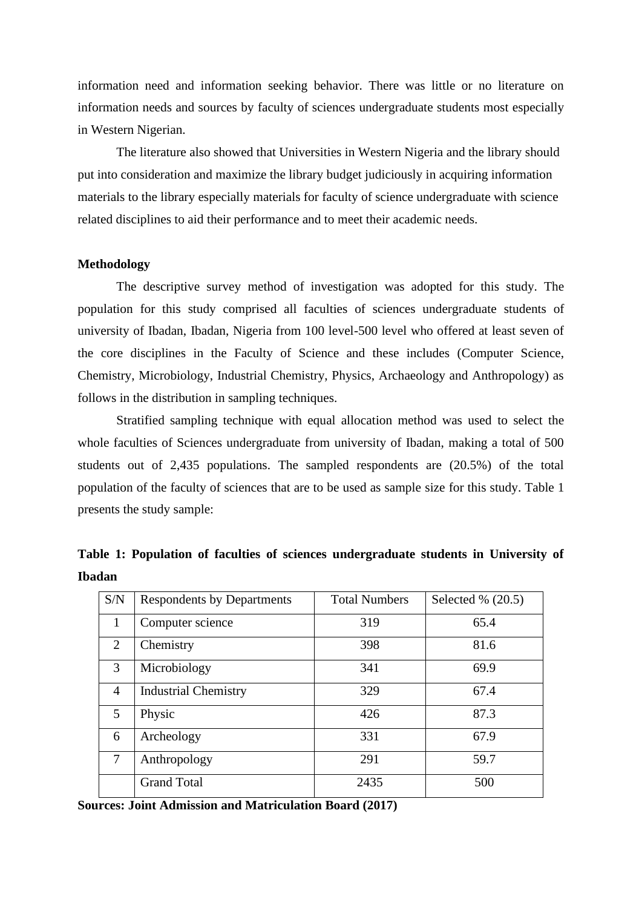information need and information seeking behavior. There was little or no literature on information needs and sources by faculty of sciences undergraduate students most especially in Western Nigerian.

The literature also showed that Universities in Western Nigeria and the library should put into consideration and maximize the library budget judiciously in acquiring information materials to the library especially materials for faculty of science undergraduate with science related disciplines to aid their performance and to meet their academic needs.

#### **Methodology**

The descriptive survey method of investigation was adopted for this study. The population for this study comprised all faculties of sciences undergraduate students of university of Ibadan, Ibadan, Nigeria from 100 level-500 level who offered at least seven of the core disciplines in the Faculty of Science and these includes (Computer Science, Chemistry, Microbiology, Industrial Chemistry, Physics, Archaeology and Anthropology) as follows in the distribution in sampling techniques.

Stratified sampling technique with equal allocation method was used to select the whole faculties of Sciences undergraduate from university of Ibadan, making a total of 500 students out of 2,435 populations. The sampled respondents are (20.5%) of the total population of the faculty of sciences that are to be used as sample size for this study. Table 1 presents the study sample:

| S/N            | <b>Respondents by Departments</b> | <b>Total Numbers</b> | Selected $\%$ (20.5) |  |  |
|----------------|-----------------------------------|----------------------|----------------------|--|--|
| 1              | Computer science                  | 319                  | 65.4                 |  |  |
| $\overline{2}$ | Chemistry                         | 398                  | 81.6                 |  |  |
| 3              | Microbiology                      | 341                  | 69.9                 |  |  |
| $\overline{4}$ | <b>Industrial Chemistry</b>       | 329                  | 67.4                 |  |  |
| 5              | Physic                            | 426                  | 87.3                 |  |  |
| 6              | Archeology                        | 331                  | 67.9                 |  |  |
| 7              | Anthropology                      | 291                  | 59.7                 |  |  |
|                | <b>Grand Total</b>                | 2435                 | 500                  |  |  |

**Table 1: Population of faculties of sciences undergraduate students in University of Ibadan**

**Sources: Joint Admission and Matriculation Board (2017)**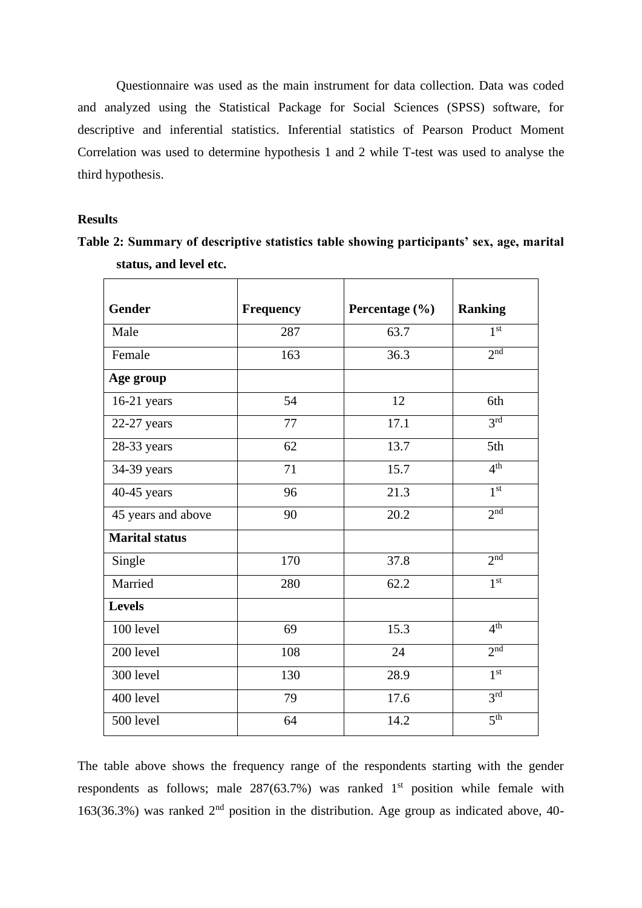Questionnaire was used as the main instrument for data collection. Data was coded and analyzed using the Statistical Package for Social Sciences (SPSS) software, for descriptive and inferential statistics. Inferential statistics of Pearson Product Moment Correlation was used to determine hypothesis 1 and 2 while T-test was used to analyse the third hypothesis.

# **Results**

**Table 2: Summary of descriptive statistics table showing participants' sex, age, marital status, and level etc.**

| <b>Gender</b>         | <b>Frequency</b> | Percentage (%) | <b>Ranking</b>  |  |  |
|-----------------------|------------------|----------------|-----------------|--|--|
| Male                  | 287              | 63.7           | 1 <sup>st</sup> |  |  |
| Female                | 163              | 36.3           | 2 <sup>nd</sup> |  |  |
| Age group             |                  |                |                 |  |  |
| $16-21$ years         | 54               | 12             | 6th             |  |  |
| $22-27$ years         | 77               | 17.1           | 3 <sup>rd</sup> |  |  |
| 28-33 years           | 62               | 13.7           | 5th             |  |  |
| 34-39 years           | 71               | 15.7           | 4 <sup>th</sup> |  |  |
| 40-45 years           | 96               | 21.3           | 1 <sup>st</sup> |  |  |
| 45 years and above    | 90               | 20.2           | 2 <sup>nd</sup> |  |  |
| <b>Marital status</b> |                  |                |                 |  |  |
| Single                | 170              | 37.8           | 2 <sub>nd</sub> |  |  |
| Married               | 280              | 62.2           | 1 <sup>st</sup> |  |  |
| <b>Levels</b>         |                  |                |                 |  |  |
| 100 level             | 69               | 15.3           | 4 <sup>th</sup> |  |  |
| 200 level             | 108              | 24             | 2 <sub>nd</sub> |  |  |
| 300 level             | 130              | 28.9           | 1 <sup>st</sup> |  |  |
| 400 level             | 79               | 17.6           | 3 <sup>rd</sup> |  |  |
| 500 level             | 64               | 14.2           | 5 <sup>th</sup> |  |  |

The table above shows the frequency range of the respondents starting with the gender respondents as follows; male  $287(63.7%)$  was ranked 1<sup>st</sup> position while female with 163(36.3%) was ranked  $2<sup>nd</sup>$  position in the distribution. Age group as indicated above, 40-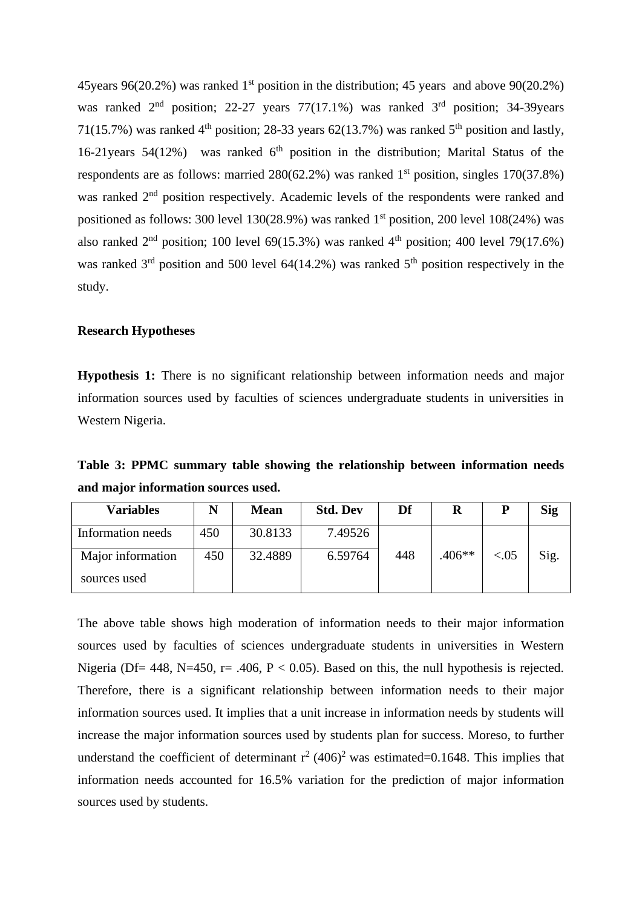45 years 96(20.2%) was ranked 1<sup>st</sup> position in the distribution; 45 years and above 90(20.2%) was ranked  $2<sup>nd</sup>$  position; 22-27 years 77(17.1%) was ranked  $3<sup>rd</sup>$  position; 34-39 years 71(15.7%) was ranked 4<sup>th</sup> position; 28-33 years 62(13.7%) was ranked 5<sup>th</sup> position and lastly, 16-21 years  $54(12%)$  was ranked  $6<sup>th</sup>$  position in the distribution; Marital Status of the respondents are as follows: married  $280(62.2%)$  was ranked  $1<sup>st</sup>$  position, singles  $170(37.8%)$ was ranked 2<sup>nd</sup> position respectively. Academic levels of the respondents were ranked and positioned as follows: 300 level  $130(28.9%)$  was ranked 1<sup>st</sup> position, 200 level  $108(24%)$  was also ranked  $2<sup>nd</sup>$  position; 100 level 69(15.3%) was ranked  $4<sup>th</sup>$  position; 400 level 79(17.6%) was ranked  $3<sup>rd</sup>$  position and 500 level 64(14.2%) was ranked  $5<sup>th</sup>$  position respectively in the study.

# **Research Hypotheses**

**Hypothesis 1:** There is no significant relationship between information needs and major information sources used by faculties of sciences undergraduate students in universities in Western Nigeria.

**Table 3: PPMC summary table showing the relationship between information needs and major information sources used.**

| <b>Variables</b>  |     | <b>Mean</b> | <b>Std. Dev</b> | Df  | R        |         | Sig  |
|-------------------|-----|-------------|-----------------|-----|----------|---------|------|
| Information needs | 450 | 30.8133     | 7.49526         |     |          |         |      |
| Major information | 450 | 32.4889     | 6.59764         | 448 | $.406**$ | ${<}05$ | Sig. |
| sources used      |     |             |                 |     |          |         |      |

The above table shows high moderation of information needs to their major information sources used by faculties of sciences undergraduate students in universities in Western Nigeria (Df = 448, N = 450, r = .406, P < 0.05). Based on this, the null hypothesis is rejected. Therefore, there is a significant relationship between information needs to their major information sources used. It implies that a unit increase in information needs by students will increase the major information sources used by students plan for success. Moreso, to further understand the coefficient of determinant  $r^2$  (406)<sup>2</sup> was estimated=0.1648. This implies that information needs accounted for 16.5% variation for the prediction of major information sources used by students.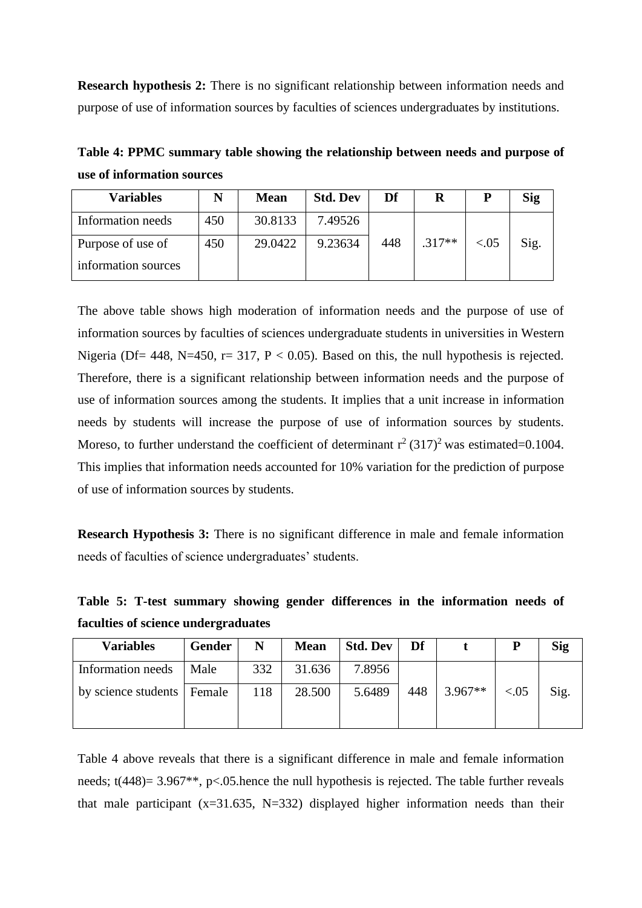**Research hypothesis 2:** There is no significant relationship between information needs and purpose of use of information sources by faculties of sciences undergraduates by institutions.

**Table 4: PPMC summary table showing the relationship between needs and purpose of use of information sources**

| <b>Variables</b>    | N   | <b>Mean</b> | <b>Std. Dev</b> | Df  |          | P       | Sig  |
|---------------------|-----|-------------|-----------------|-----|----------|---------|------|
| Information needs   | 450 | 30.8133     | 7.49526         |     |          |         |      |
| Purpose of use of   | 450 | 29.0422     | 9.23634         | 448 | $.317**$ | ${<}05$ | Sig. |
| information sources |     |             |                 |     |          |         |      |

The above table shows high moderation of information needs and the purpose of use of information sources by faculties of sciences undergraduate students in universities in Western Nigeria (Df = 448, N = 450, r = 317, P < 0.05). Based on this, the null hypothesis is rejected. Therefore, there is a significant relationship between information needs and the purpose of use of information sources among the students. It implies that a unit increase in information needs by students will increase the purpose of use of information sources by students. Moreso, to further understand the coefficient of determinant  $r^2(317)^2$  was estimated=0.1004. This implies that information needs accounted for 10% variation for the prediction of purpose of use of information sources by students.

**Research Hypothesis 3:** There is no significant difference in male and female information needs of faculties of science undergraduates' students.

**Table 5: T-test summary showing gender differences in the information needs of faculties of science undergraduates** 

| <b>Variables</b>             | Gender | N   | <b>Mean</b> | <b>Std. Dev</b> | Df  |           | P     | <b>Sig</b> |
|------------------------------|--------|-----|-------------|-----------------|-----|-----------|-------|------------|
| Information needs            | Male   | 332 | 31.636      | 7.8956          |     |           |       |            |
| by science students   Female |        | 118 | 28.500      | 5.6489          | 448 | $3.967**$ | < .05 | Sig.       |

Table 4 above reveals that there is a significant difference in male and female information needs; t(448)= 3.967<sup>\*\*</sup>, p<.05.hence the null hypothesis is rejected. The table further reveals that male participant  $(x=31.635, N=332)$  displayed higher information needs than their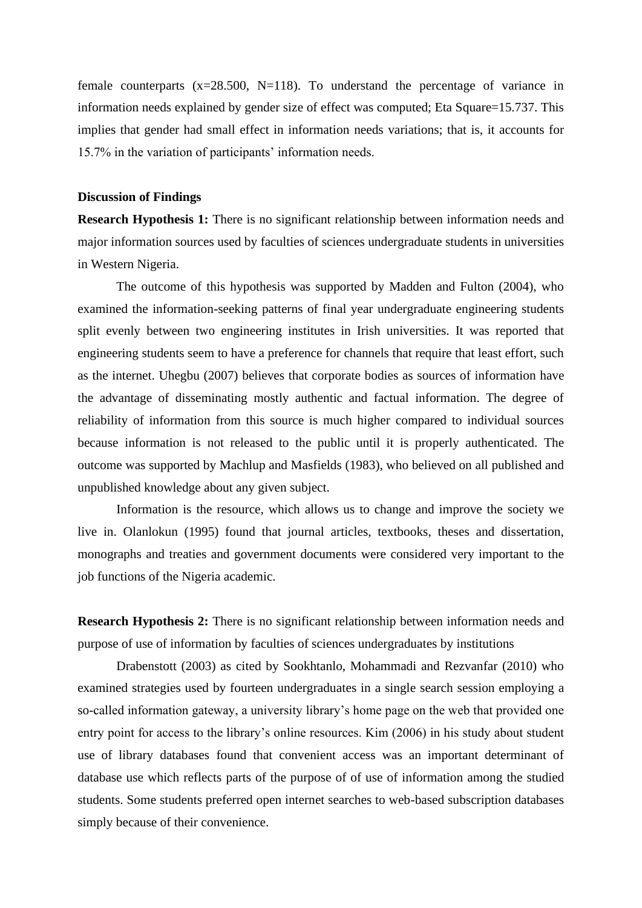female counterparts (x=28.500, N=118). To understand the percentage of variance in information needs explained by gender size of effect was computed; Eta Square=15.737. This implies that gender had small effect in information needs variations; that is, it accounts for 15.7% in the variation of participants' information needs.

#### **Discussion of Findings**

**Research Hypothesis 1:** There is no significant relationship between information needs and major information sources used by faculties of sciences undergraduate students in universities in Western Nigeria.

The outcome of this hypothesis was supported by Madden and Fulton (2004), who examined the information-seeking patterns of final year undergraduate engineering students split evenly between two engineering institutes in Irish universities. It was reported that engineering students seem to have a preference for channels that require that least effort, such as the internet. Uhegbu (2007) believes that corporate bodies as sources of information have the advantage of disseminating mostly authentic and factual information. The degree of reliability of information from this source is much higher compared to individual sources because information is not released to the public until it is properly authenticated. The outcome was supported by Machlup and Masfields (1983), who believed on all published and unpublished knowledge about any given subject.

Information is the resource, which allows us to change and improve the society we live in. Olanlokun (1995) found that journal articles, textbooks, theses and dissertation, monographs and treaties and government documents were considered very important to the job functions of the Nigeria academic.

**Research Hypothesis 2:** There is no significant relationship between information needs and purpose of use of information by faculties of sciences undergraduates by institutions

Drabenstott (2003) as cited by Sookhtanlo, Mohammadi and Rezvanfar (2010) who examined strategies used by fourteen undergraduates in a single search session employing a so-called information gateway, a university library's home page on the web that provided one entry point for access to the library's online resources. Kim (2006) in his study about student use of library databases found that convenient access was an important determinant of database use which reflects parts of the purpose of of use of information among the studied students. Some students preferred open internet searches to web-based subscription databases simply because of their convenience.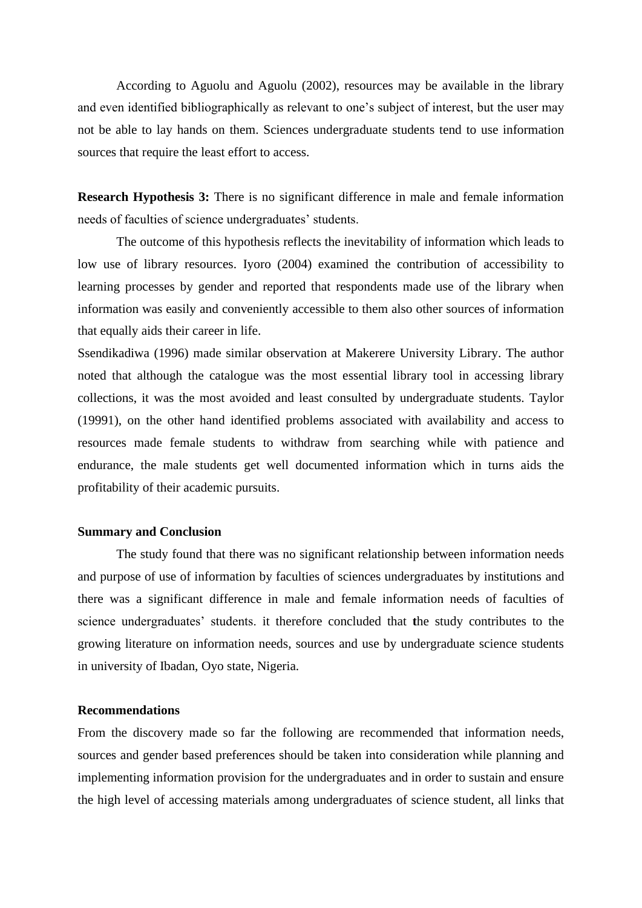According to Aguolu and Aguolu (2002), resources may be available in the library and even identified bibliographically as relevant to one's subject of interest, but the user may not be able to lay hands on them. Sciences undergraduate students tend to use information sources that require the least effort to access.

**Research Hypothesis 3:** There is no significant difference in male and female information needs of faculties of science undergraduates' students.

The outcome of this hypothesis reflects the inevitability of information which leads to low use of library resources. Iyoro (2004) examined the contribution of accessibility to learning processes by gender and reported that respondents made use of the library when information was easily and conveniently accessible to them also other sources of information that equally aids their career in life.

Ssendikadiwa (1996) made similar observation at Makerere University Library. The author noted that although the catalogue was the most essential library tool in accessing library collections, it was the most avoided and least consulted by undergraduate students. Taylor (19991), on the other hand identified problems associated with availability and access to resources made female students to withdraw from searching while with patience and endurance, the male students get well documented information which in turns aids the profitability of their academic pursuits.

#### **Summary and Conclusion**

The study found that there was no significant relationship between information needs and purpose of use of information by faculties of sciences undergraduates by institutions and there was a significant difference in male and female information needs of faculties of science undergraduates' students. it therefore concluded that **t**he study contributes to the growing literature on information needs, sources and use by undergraduate science students in university of Ibadan, Oyo state, Nigeria.

#### **Recommendations**

From the discovery made so far the following are recommended that information needs, sources and gender based preferences should be taken into consideration while planning and implementing information provision for the undergraduates and in order to sustain and ensure the high level of accessing materials among undergraduates of science student, all links that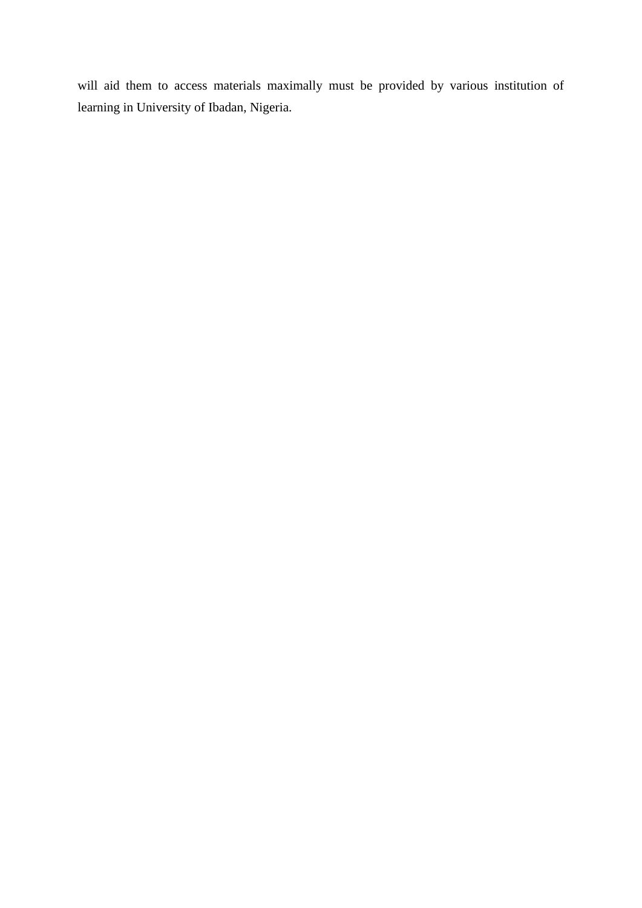will aid them to access materials maximally must be provided by various institution of learning in University of Ibadan, Nigeria.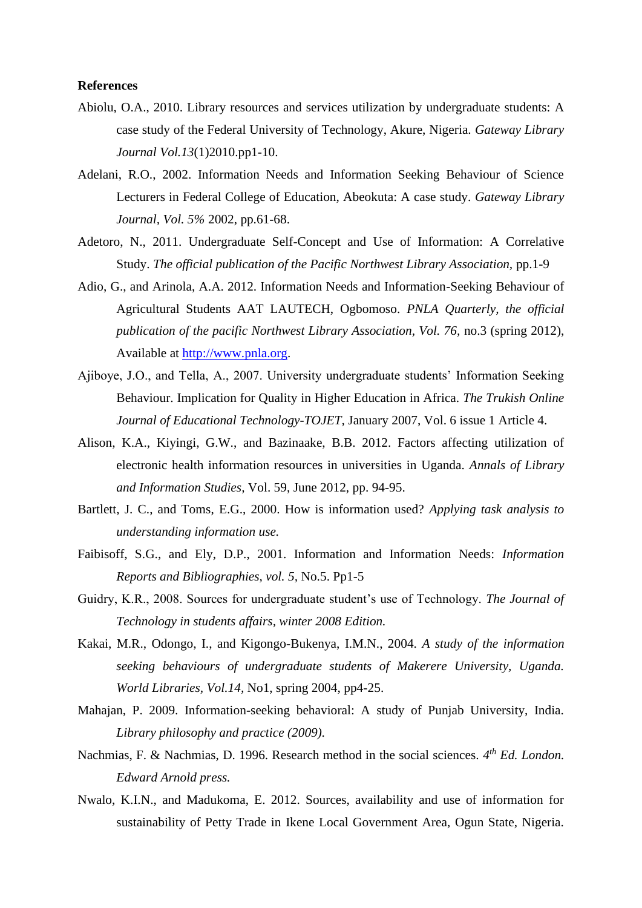#### **References**

- Abiolu, O.A., 2010. Library resources and services utilization by undergraduate students: A case study of the Federal University of Technology, Akure, Nigeria. *Gateway Library Journal Vol.13*(1)2010.pp1-10.
- Adelani, R.O., 2002. Information Needs and Information Seeking Behaviour of Science Lecturers in Federal College of Education, Abeokuta: A case study. *Gateway Library Journal, Vol. 5%* 2002, pp.61-68.
- Adetoro, N., 2011. Undergraduate Self-Concept and Use of Information: A Correlative Study. *The official publication of the Pacific Northwest Library Association,* pp.1-9
- Adio, G., and Arinola, A.A. 2012. Information Needs and Information-Seeking Behaviour of Agricultural Students AAT LAUTECH, Ogbomoso. *PNLA Quarterly, the official publication of the pacific Northwest Library Association, Vol. 76, no.3 (spring 2012),* Available at [http://www.pnla.org.](http://www.pnla.org/)
- Ajiboye, J.O., and Tella, A., 2007. University undergraduate students' Information Seeking Behaviour. Implication for Quality in Higher Education in Africa. *The Trukish Online Journal of Educational Technology-TOJET,* January 2007, Vol. 6 issue 1 Article 4.
- Alison, K.A., Kiyingi, G.W., and Bazinaake, B.B. 2012. Factors affecting utilization of electronic health information resources in universities in Uganda. *Annals of Library and Information Studies,* Vol. 59, June 2012, pp. 94-95.
- Bartlett, J. C., and Toms, E.G., 2000. How is information used? *Applying task analysis to understanding information use.*
- Faibisoff, S.G., and Ely, D.P., 2001. Information and Information Needs: *Information Reports and Bibliographies, vol. 5,* No.5. Pp1-5
- Guidry, K.R., 2008. Sources for undergraduate student's use of Technology. *The Journal of Technology in students affairs, winter 2008 Edition.*
- Kakai, M.R., Odongo, I., and Kigongo-Bukenya, I.M.N., 2004. *A study of the information seeking behaviours of undergraduate students of Makerere University, Uganda. World Libraries, Vol.14,* No1, spring 2004, pp4-25.
- Mahajan, P. 2009. Information-seeking behavioral: A study of Punjab University, India. *Library philosophy and practice (2009).*
- Nachmias, F. & Nachmias, D. 1996. Research method in the social sciences. *4 th Ed. London. Edward Arnold press.*
- Nwalo, K.I.N., and Madukoma, E. 2012. Sources, availability and use of information for sustainability of Petty Trade in Ikene Local Government Area, Ogun State, Nigeria.